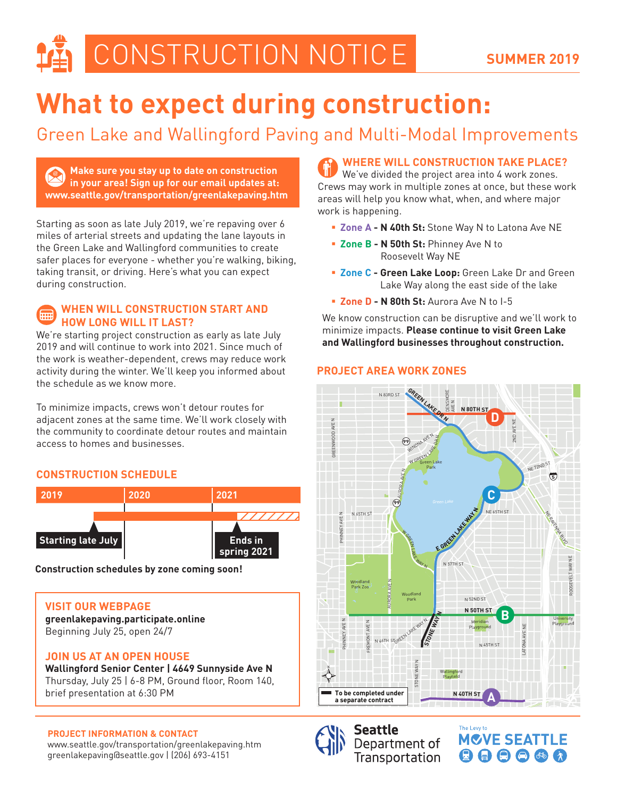# **What to expect during construction:**

Green Lake and Wallingford Paving and Multi-Modal Improvements

**Make sure you stay up to date on construction in your area! Sign up for our email updates at: www.seattle.gov/transportation/greenlakepaving.htm**

Starting as soon as late July 2019, we're repaving over 6 miles of arterial streets and updating the lane layouts in the Green Lake and Wallingford communities to create safer places for everyone - whether you're walking, biking, taking transit, or driving. Here's what you can expect during construction.

#### **WHEN WILL CONSTRUCTION START AND** Œ **HOW LONG WILL IT LAST?**

We're starting project construction as early as late July 2019 and will continue to work into 2021. Since much of the work is weather-dependent, crews may reduce work activity during the winter. We'll keep you informed about the schedule as we know more.

To minimize impacts, crews won't detour routes for adjacent zones at the same time. We'll work closely with the community to coordinate detour routes and maintain access to homes and businesses.

## **CONSTRUCTION SCHEDULE**



**Construction schedules by zone coming soon!**

#### **VISIT OUR WEBPAGE**

**greenlakepaving.participate.online** Beginning July 25, open 24/7

#### **JOIN US AT AN OPEN HOUSE**

**Wallingford Senior Center | 4649 Sunnyside Ave N**  Thursday, July 25 | 6-8 PM, Ground floor, Room 140, brief presentation at 6:30 PM

#### **PROJECT INFORMATION & CONTACT**

www.seattle.gov/transportation/greenlakepaving.htm greenlakepaving@seattle.gov | (206) 693-4151

**WHERE WILL CONSTRUCTION TAKE PLACE?** We've divided the project area into 4 work zones. Crews may work in multiple zones at once, but these work areas will help you know what, when, and where major work is happening.

- **Zone A N 40th St:** Stone Way N to Latona Ave NE
- **Zone B N 50th St: Phinney Ave N to** Roosevelt Way NE
- **Zone C Green Lake Loop:** Green Lake Dr and Green Lake Way along the east side of the lake
- **Zone D N 80th St:** Aurora Ave N to I-5

We know construction can be disruptive and we'll work to minimize impacts. **Please continue to visit Green Lake and Wallingford businesses throughout construction.**

### **PROJECT AREA WORK ZONES**





The Lew to **MOVE SEATTLE**  $\mathbf{\Omega} \oplus \mathbf{\Theta} \oplus \mathbf{\Phi} \mathbf{\Omega}$